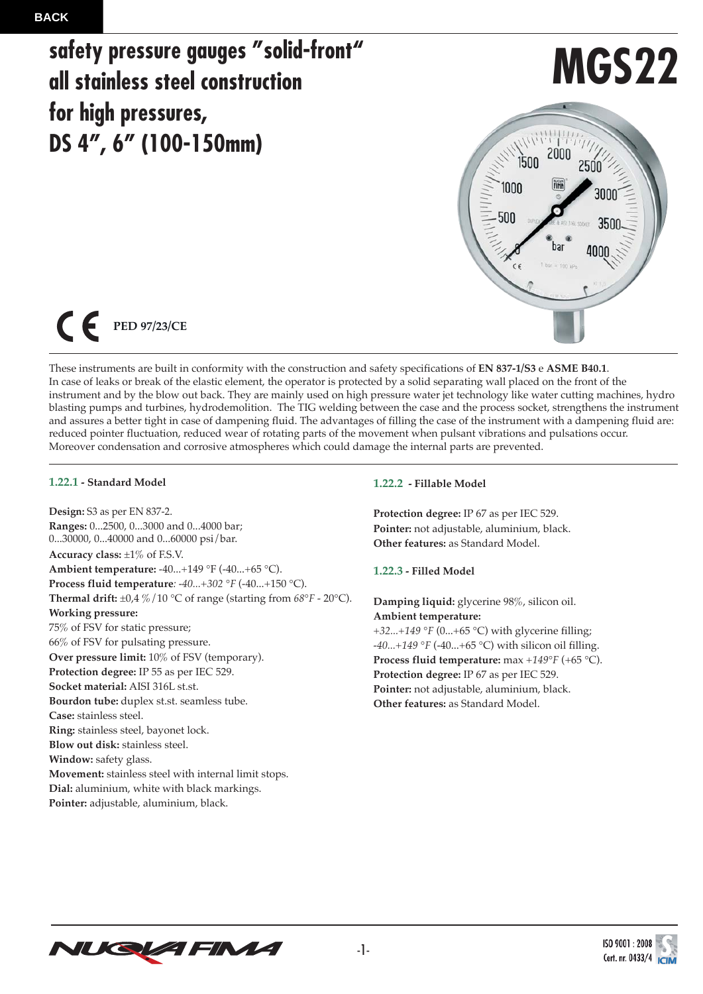## **safety pressure gauges "solid-front" all stainless steel construction for high pressures, DS 4", 6" (100-150mm)**

# **MGS22**



 $\epsilon$ **PED 97/23/CE**

These instruments are built in conformity with the construction and safety specifications of **EN 837-1/S3** e **ASME B40.1**. In case of leaks or break of the elastic element, the operator is protected by a solid separating wall placed on the front of the instrument and by the blow out back. They are mainly used on high pressure water jet technology like water cutting machines, hydro blasting pumps and turbines, hydrodemolition. The TIG welding between the case and the process socket, strengthens the instrument and assures a better tight in case of dampening fluid. The advantages of filling the case of the instrument with a dampening fluid are: reduced pointer fluctuation, reduced wear of rotating parts of the movement when pulsant vibrations and pulsations occur. Moreover condensation and corrosive atmospheres which could damage the internal parts are prevented.

#### **1.22.1 - Standard Model**

**Design:** S3 as per EN 837-2. **Ranges:** 0...2500, 0...3000 and 0...4000 bar; 0...30000, 0...40000 and 0...60000 psi/bar. **Accuracy class:** ±1% of F.S.V. **Ambient temperature:** -40...+149 °F (-40...+65 °C). **Process fluid temperature***: -40...+302* °*F* (-40...+150 °C). **Thermal drift:**  $\pm 0.4 \% / 10$  °C of range (starting from  $68^\circ$ F - 20°C). **Working pressure:** 75% of FSV for static pressure; 66% of FSV for pulsating pressure. **Over pressure limit:** 10% of FSV (temporary). **Protection degree:** IP 55 as per IEC 529. **Socket material:** AISI 316L st.st. **Bourdon tube:** duplex st.st. seamless tube. **Case:** stainless steel. **Ring:** stainless steel, bayonet lock. **Blow out disk:** stainless steel. **Window:** safety glass. **Movement:** stainless steel with internal limit stops. **Dial:** aluminium, white with black markings. **Pointer:** adjustable, aluminium, black.

## **1.22.2 - Fillable Model**

**Protection degree:** IP 67 as per IEC 529. **Pointer:** not adjustable, aluminium, black. **Other features:** as Standard Model.

**1.22.3 - Filled Model**

**Damping liquid:** glycerine 98%, silicon oil. **Ambient temperature:** *+32...+149* °*F* (0...+65 °C) with glycerine filling; *-40...+149* °*F* (-40...+65 °C) with silicon oil filling. **Process fluid temperature:** max *+149*°*F* (+65 °C). **Protection degree:** IP 67 as per IEC 529. **Pointer:** not adjustable, aluminium, black. **Other features:** as Standard Model.